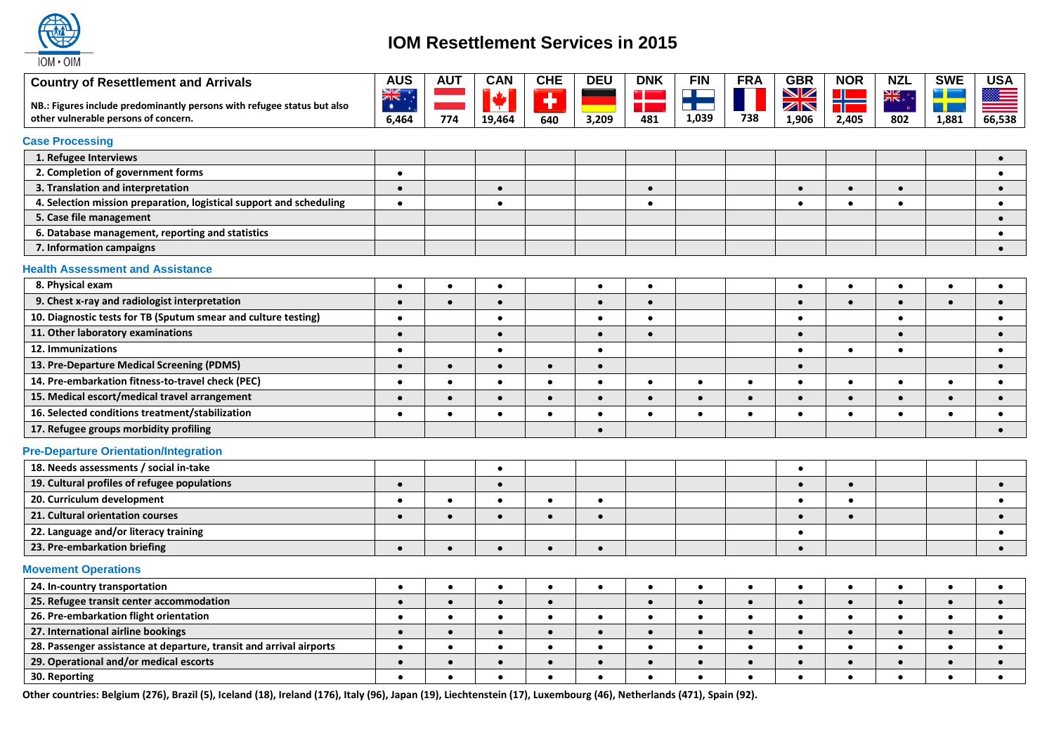

# **IOM Resettlement Services in 2015**

| <b>Country of Resettlement and Arrivals</b>                             | <b>AUS</b> | <b>AUT</b> | <b>CAN</b> | <b>CHE</b> | <b>DEU</b> | <b>DNK</b>      | <b>FIN</b>                | <b>FRA</b> | <b>GBR</b> | <b>NOR</b> | <b>NZL</b> | <b>SWE</b> | <b>USA</b> |
|-------------------------------------------------------------------------|------------|------------|------------|------------|------------|-----------------|---------------------------|------------|------------|------------|------------|------------|------------|
| NB.: Figures include predominantly persons with refugee status but also | XK<br>$*$  |            | ¥          | Ŧ          |            | u<br>er i skriv | <b>The Contract State</b> |            | NZ<br>ZN   | ╬          | AK.        | т          |            |
| other vulnerable persons of concern.                                    | 6,464      | 774        | 19,464     | 640        | 3,209      | 481             | 1,039                     | 738        | 1,906      | 2,405      | 802        | 1,881      | 66,538     |
| <b>Case Processing</b>                                                  |            |            |            |            |            |                 |                           |            |            |            |            |            |            |
| 1. Refugee Interviews                                                   |            |            |            |            |            |                 |                           |            |            |            |            |            | $\bullet$  |
| 2. Completion of government forms                                       | $\bullet$  |            |            |            |            |                 |                           |            |            |            |            |            | $\bullet$  |
| 3. Translation and interpretation                                       | $\bullet$  |            | $\bullet$  |            |            | $\bullet$       |                           |            | $\bullet$  | $\bullet$  | $\bullet$  |            | $\bullet$  |
| 4. Selection mission preparation, logistical support and scheduling     | $\bullet$  |            | $\bullet$  |            |            | $\bullet$       |                           |            | $\bullet$  | $\bullet$  | $\bullet$  |            | $\bullet$  |
| 5. Case file management                                                 |            |            |            |            |            |                 |                           |            |            |            |            |            | $\bullet$  |
| 6. Database management, reporting and statistics                        |            |            |            |            |            |                 |                           |            |            |            |            |            | $\bullet$  |
| 7. Information campaigns                                                |            |            |            |            |            |                 |                           |            |            |            |            |            | $\bullet$  |
| <b>Health Assessment and Assistance</b>                                 |            |            |            |            |            |                 |                           |            |            |            |            |            |            |
| 8. Physical exam                                                        | $\bullet$  | $\bullet$  | $\bullet$  |            | $\bullet$  | $\bullet$       |                           |            | $\bullet$  | $\bullet$  | $\bullet$  | $\bullet$  | $\bullet$  |
| 9. Chest x-ray and radiologist interpretation                           | $\bullet$  | $\bullet$  | $\bullet$  |            | $\bullet$  | $\bullet$       |                           |            | $\bullet$  | $\bullet$  | $\bullet$  | $\bullet$  | $\bullet$  |
| 10. Diagnostic tests for TB (Sputum smear and culture testing)          | $\bullet$  |            | $\bullet$  |            | $\bullet$  | $\bullet$       |                           |            | $\bullet$  |            | $\bullet$  |            | $\bullet$  |
| 11. Other laboratory examinations                                       | $\bullet$  |            | $\bullet$  |            | $\bullet$  | $\bullet$       |                           |            | $\bullet$  |            | $\bullet$  |            | $\bullet$  |
| 12. Immunizations                                                       | $\bullet$  |            | $\bullet$  |            | $\bullet$  |                 |                           |            | $\bullet$  | $\bullet$  | $\bullet$  |            | $\bullet$  |
| 13. Pre-Departure Medical Screening (PDMS)                              | $\bullet$  | $\bullet$  | $\bullet$  | $\bullet$  | $\bullet$  |                 |                           |            | $\bullet$  |            |            |            | $\bullet$  |
| 14. Pre-embarkation fitness-to-travel check (PEC)                       | $\bullet$  | $\bullet$  | $\bullet$  | $\bullet$  | $\bullet$  | $\bullet$       | $\bullet$                 | $\bullet$  | $\bullet$  | $\bullet$  | $\bullet$  | $\bullet$  | $\bullet$  |
| 15. Medical escort/medical travel arrangement                           | $\bullet$  | $\bullet$  |            | $\bullet$  | $\bullet$  | $\bullet$       | $\bullet$                 | $\bullet$  | $\bullet$  | $\bullet$  | $\bullet$  | $\bullet$  | $\bullet$  |
| 16. Selected conditions treatment/stabilization                         | $\bullet$  | $\bullet$  | $\bullet$  | $\bullet$  | $\bullet$  | $\bullet$       | $\bullet$                 | $\bullet$  | $\bullet$  | $\bullet$  | $\bullet$  | $\bullet$  | $\bullet$  |
| 17. Refugee groups morbidity profiling                                  |            |            |            |            | $\bullet$  |                 |                           |            |            |            |            |            | $\bullet$  |
| <b>Pre-Departure Orientation/Integration</b>                            |            |            |            |            |            |                 |                           |            |            |            |            |            |            |
| 18. Needs assessments / social in-take                                  |            |            | $\bullet$  |            |            |                 |                           |            | $\bullet$  |            |            |            |            |
| 19. Cultural profiles of refugee populations                            | $\bullet$  |            | $\bullet$  |            |            |                 |                           |            | $\bullet$  | $\bullet$  |            |            | $\bullet$  |
| 20. Curriculum development                                              | $\bullet$  | $\bullet$  | $\bullet$  | $\bullet$  | $\bullet$  |                 |                           |            | $\bullet$  | $\bullet$  |            |            | $\bullet$  |
| 21. Cultural orientation courses                                        | $\bullet$  | $\bullet$  | $\bullet$  | $\bullet$  | $\bullet$  |                 |                           |            | $\bullet$  | $\bullet$  |            |            | $\bullet$  |
| 22. Language and/or literacy training                                   |            |            |            |            |            |                 |                           |            | $\bullet$  |            |            |            | $\bullet$  |
| 23. Pre-embarkation briefing                                            | $\bullet$  | $\bullet$  | $\bullet$  | $\bullet$  | $\bullet$  |                 |                           |            | $\bullet$  |            |            |            | $\bullet$  |
| <b>Movement Operations</b>                                              |            |            |            |            |            |                 |                           |            |            |            |            |            |            |
| 24. In-country transportation                                           | $\bullet$  | $\bullet$  | $\bullet$  | $\bullet$  | $\bullet$  | $\bullet$       | $\bullet$                 | $\bullet$  | $\bullet$  | $\bullet$  | $\bullet$  | $\bullet$  | $\bullet$  |
| 25. Refugee transit center accommodation                                | $\bullet$  | $\bullet$  | $\bullet$  | $\bullet$  |            | $\bullet$       | $\bullet$                 | $\bullet$  | $\bullet$  | $\bullet$  | $\bullet$  | $\bullet$  | $\bullet$  |
| 26. Pre-embarkation flight orientation                                  | $\bullet$  | $\bullet$  | $\bullet$  | $\bullet$  | $\bullet$  | $\bullet$       | $\bullet$                 | $\bullet$  | $\bullet$  | $\bullet$  | $\bullet$  | $\bullet$  | $\bullet$  |
| 27. International airline bookings                                      | $\bullet$  | $\bullet$  | $\bullet$  | $\bullet$  | $\bullet$  | $\bullet$       | $\bullet$                 | $\bullet$  | $\bullet$  | $\bullet$  | $\bullet$  | $\bullet$  | $\bullet$  |
| 28. Passenger assistance at departure, transit and arrival airports     | $\bullet$  | $\bullet$  | $\bullet$  | $\bullet$  | $\bullet$  | $\bullet$       | $\bullet$                 | $\bullet$  | $\bullet$  | $\bullet$  | $\bullet$  | $\bullet$  | $\bullet$  |
| 29. Operational and/or medical escorts                                  | $\bullet$  | $\bullet$  | $\bullet$  | $\bullet$  | $\bullet$  | $\bullet$       | $\bullet$                 | $\bullet$  | $\bullet$  | $\bullet$  | $\bullet$  | $\bullet$  | $\bullet$  |
| 30. Reporting                                                           | $\bullet$  | $\bullet$  |            | $\bullet$  | $\bullet$  | $\bullet$       | $\bullet$                 | $\bullet$  | $\bullet$  | $\bullet$  | $\bullet$  | $\bullet$  | $\bullet$  |

**Other countries: Belgium (276), Brazil (5), Iceland (18), Ireland (176), Italy (96), Japan (19), Liechtenstein (17), Luxembourg (46), Netherlands (471), Spain (92).**